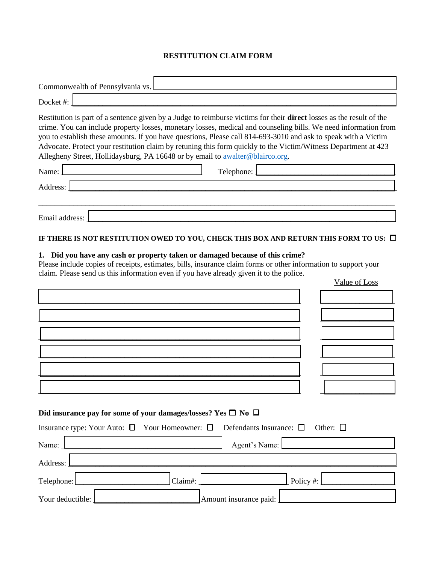## **RESTITUTION CLAIM FORM**

| Commonwealth of Pennsylvania vs.                                                                                                                                                                                                                                                                                                                                                                                                                                                                                                                             |            |               |
|--------------------------------------------------------------------------------------------------------------------------------------------------------------------------------------------------------------------------------------------------------------------------------------------------------------------------------------------------------------------------------------------------------------------------------------------------------------------------------------------------------------------------------------------------------------|------------|---------------|
| Docket#:                                                                                                                                                                                                                                                                                                                                                                                                                                                                                                                                                     |            |               |
| Restitution is part of a sentence given by a Judge to reimburse victims for their direct losses as the result of the<br>crime. You can include property losses, monetary losses, medical and counseling bills. We need information from<br>you to establish these amounts. If you have questions, Please call 814-693-3010 and ask to speak with a Victim<br>Advocate. Protect your restitution claim by retuning this form quickly to the Victim/Witness Department at 423<br>Allegheny Street, Hollidaysburg, PA 16648 or by email to awalter@blairco.org. |            |               |
| Name:                                                                                                                                                                                                                                                                                                                                                                                                                                                                                                                                                        | Telephone: |               |
| Address:                                                                                                                                                                                                                                                                                                                                                                                                                                                                                                                                                     |            |               |
|                                                                                                                                                                                                                                                                                                                                                                                                                                                                                                                                                              |            |               |
| Email address:                                                                                                                                                                                                                                                                                                                                                                                                                                                                                                                                               |            |               |
| IF THERE IS NOT RESTITUTION OWED TO YOU, CHECK THIS BOX AND RETURN THIS FORM TO US: $\Box$                                                                                                                                                                                                                                                                                                                                                                                                                                                                   |            |               |
| 1. Did you have any cash or property taken or damaged because of this crime?<br>Please include copies of receipts, estimates, bills, insurance claim forms or other information to support your<br>claim. Please send us this information even if you have already given it to the police.                                                                                                                                                                                                                                                                   |            |               |
|                                                                                                                                                                                                                                                                                                                                                                                                                                                                                                                                                              |            | Value of Loss |
|                                                                                                                                                                                                                                                                                                                                                                                                                                                                                                                                                              |            |               |
|                                                                                                                                                                                                                                                                                                                                                                                                                                                                                                                                                              |            |               |
|                                                                                                                                                                                                                                                                                                                                                                                                                                                                                                                                                              |            |               |
|                                                                                                                                                                                                                                                                                                                                                                                                                                                                                                                                                              |            |               |

## Did insurance pay for some of your damages/losses? Yes  $\Box$  No  $\Box$

 $\_$  ,  $\_$  ,  $\_$  ,  $\_$  ,  $\_$  ,  $\_$  ,  $\_$  ,  $\_$  ,  $\_$  ,  $\_$  ,  $\_$  ,  $\_$  ,  $\_$  ,  $\_$  ,  $\_$  ,  $\_$  ,  $\_$  ,  $\_$  ,  $\_$  ,  $\_$  ,  $\_$  ,  $\_$  ,  $\_$  ,  $\_$  ,  $\_$  ,  $\_$  ,  $\_$  ,  $\_$  ,  $\_$  ,  $\_$  ,  $\_$  ,  $\_$  ,  $\_$  ,  $\_$  ,  $\_$  ,  $\_$  ,  $\_$  ,

|                  |         | Insurance type: Your Auto: $\Box$ Your Homeowner: $\Box$ Defendants Insurance: $\Box$ Other: $\Box$ |
|------------------|---------|-----------------------------------------------------------------------------------------------------|
| Name:            |         | Agent's Name:                                                                                       |
| Address:         |         |                                                                                                     |
| Telephone:       | Claim#: | $\Delta$ Policy #:                                                                                  |
| Your deductible: |         | Amount insurance paid: <u>Lessens</u>                                                               |